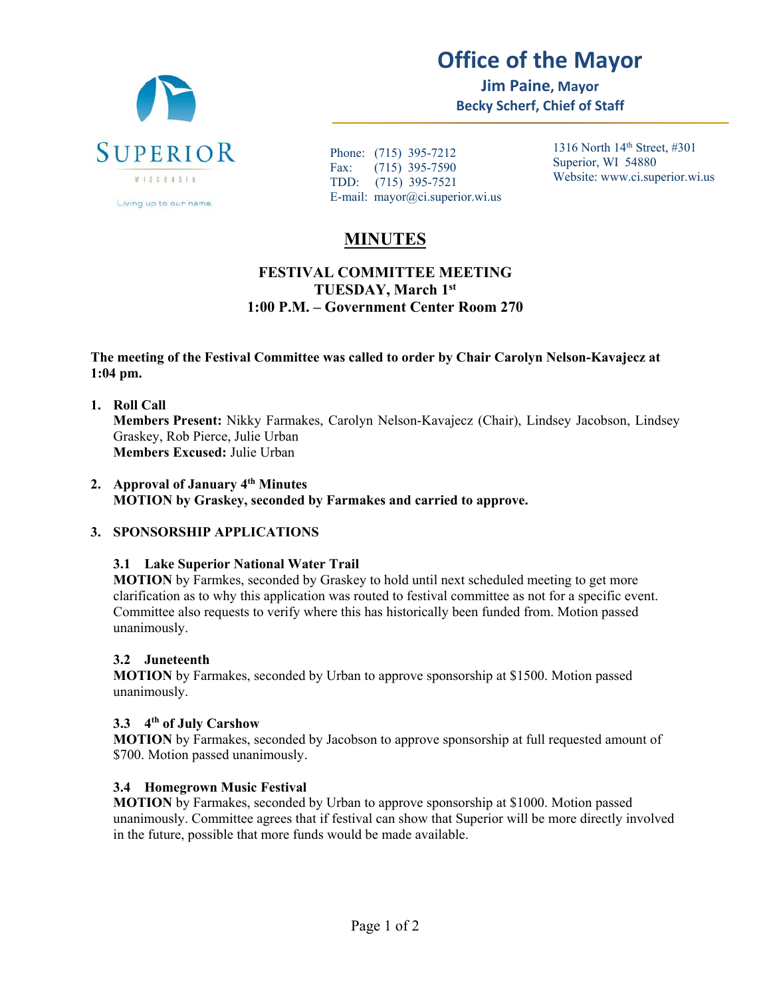

# **Office of the Mayor**

**Jim Paine, Mayor Becky Scherf, Chief of Staff** 

Phone: (715) 395-7212 Fax: (715) 395-7590 TDD: (715) 395-7521 E-mail: mayor@ci.superior.wi.us 1316 North 14th Street, #301 Superior, WI 54880 Website: www.ci.superior.wi.us

# **MINUTES**

# **FESTIVAL COMMITTEE MEETING TUESDAY, March 1st 1:00 P.M. – Government Center Room 270**

#### **The meeting of the Festival Committee was called to order by Chair Carolyn Nelson-Kavajecz at 1:04 pm.**

**1. Roll Call Members Present:** Nikky Farmakes, Carolyn Nelson-Kavajecz (Chair), Lindsey Jacobson, Lindsey Graskey, Rob Pierce, Julie Urban **Members Excused:** Julie Urban

#### **2. Approval of January 4th Minutes MOTION by Graskey, seconded by Farmakes and carried to approve.**

# **3. SPONSORSHIP APPLICATIONS**

# **3.1 Lake Superior National Water Trail**

**MOTION** by Farmkes, seconded by Graskey to hold until next scheduled meeting to get more clarification as to why this application was routed to festival committee as not for a specific event. Committee also requests to verify where this has historically been funded from. Motion passed unanimously.

# **3.2 Juneteenth**

**MOTION** by Farmakes, seconded by Urban to approve sponsorship at \$1500. Motion passed unanimously.

# **3.3 4th of July Carshow**

**MOTION** by Farmakes, seconded by Jacobson to approve sponsorship at full requested amount of \$700. Motion passed unanimously.

# **3.4 Homegrown Music Festival**

**MOTION** by Farmakes, seconded by Urban to approve sponsorship at \$1000. Motion passed unanimously. Committee agrees that if festival can show that Superior will be more directly involved in the future, possible that more funds would be made available.